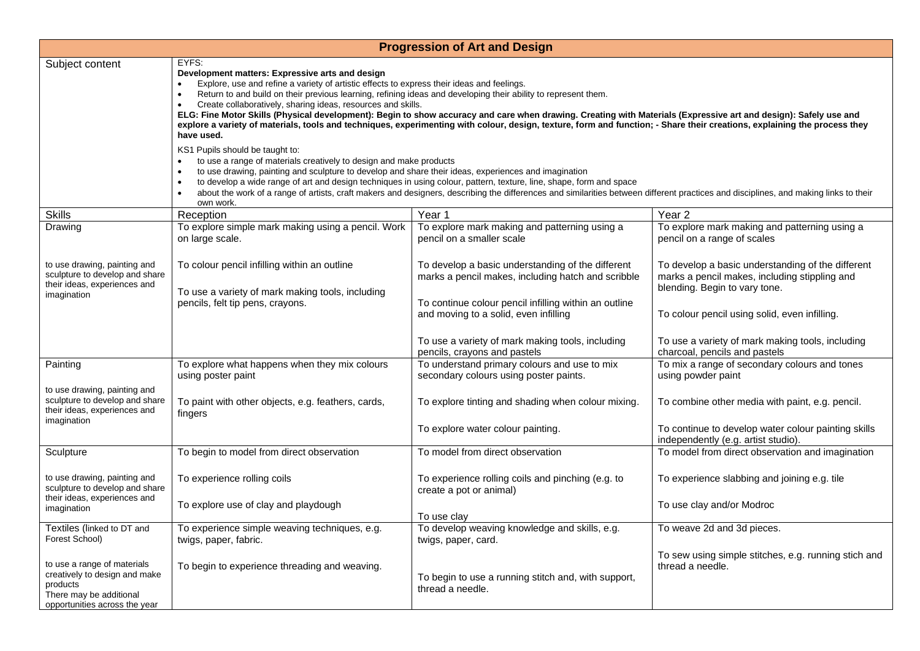| <b>Progression of Art and Design</b>                                                                                                 |                                                                                                                                                                                                                                                                                                                                                                                                                                                                                                                                                                                                                                                                                                                                                                                                                                                         |                                                                                                                                                                                                           |                                                                                                                                                                                      |  |  |
|--------------------------------------------------------------------------------------------------------------------------------------|---------------------------------------------------------------------------------------------------------------------------------------------------------------------------------------------------------------------------------------------------------------------------------------------------------------------------------------------------------------------------------------------------------------------------------------------------------------------------------------------------------------------------------------------------------------------------------------------------------------------------------------------------------------------------------------------------------------------------------------------------------------------------------------------------------------------------------------------------------|-----------------------------------------------------------------------------------------------------------------------------------------------------------------------------------------------------------|--------------------------------------------------------------------------------------------------------------------------------------------------------------------------------------|--|--|
| Subject content                                                                                                                      | EYFS:<br>Development matters: Expressive arts and design<br>Explore, use and refine a variety of artistic effects to express their ideas and feelings.<br>Return to and build on their previous learning, refining ideas and developing their ability to represent them.<br>$\bullet$<br>Create collaboratively, sharing ideas, resources and skills.<br>$\bullet$<br>ELG: Fine Motor Skills (Physical development): Begin to show accuracy and care when drawing. Creating with Materials (Expressive art and design): Safely use and<br>explore a variety of materials, tools and techniques, experimenting with colour, design, texture, form and function; - Share their creations, explaining the process they<br>have used.<br>KS1 Pupils should be taught to:<br>to use a range of materials creatively to design and make products<br>$\bullet$ |                                                                                                                                                                                                           |                                                                                                                                                                                      |  |  |
|                                                                                                                                      | to use drawing, painting and sculpture to develop and share their ideas, experiences and imagination<br>to develop a wide range of art and design techniques in using colour, pattern, texture, line, shape, form and space<br>$\bullet$<br>about the work of a range of artists, craft makers and designers, describing the differences and similarities between different practices and disciplines, and making links to their<br>$\bullet$<br>own work.                                                                                                                                                                                                                                                                                                                                                                                              |                                                                                                                                                                                                           |                                                                                                                                                                                      |  |  |
| <b>Skills</b>                                                                                                                        | Reception                                                                                                                                                                                                                                                                                                                                                                                                                                                                                                                                                                                                                                                                                                                                                                                                                                               | Year 1                                                                                                                                                                                                    | Year <sub>2</sub>                                                                                                                                                                    |  |  |
| Drawing                                                                                                                              | To explore simple mark making using a pencil. Work<br>on large scale.                                                                                                                                                                                                                                                                                                                                                                                                                                                                                                                                                                                                                                                                                                                                                                                   | To explore mark making and patterning using a<br>pencil on a smaller scale                                                                                                                                | To explore mark making and patterning using a<br>pencil on a range of scales                                                                                                         |  |  |
| to use drawing, painting and<br>sculpture to develop and share<br>their ideas, experiences and<br>imagination                        | To colour pencil infilling within an outline<br>To use a variety of mark making tools, including<br>pencils, felt tip pens, crayons.                                                                                                                                                                                                                                                                                                                                                                                                                                                                                                                                                                                                                                                                                                                    | To develop a basic understanding of the different<br>marks a pencil makes, including hatch and scribble<br>To continue colour pencil infilling within an outline<br>and moving to a solid, even infilling | To develop a basic understanding of the different<br>marks a pencil makes, including stippling and<br>blending. Begin to vary tone.<br>To colour pencil using solid, even infilling. |  |  |
|                                                                                                                                      |                                                                                                                                                                                                                                                                                                                                                                                                                                                                                                                                                                                                                                                                                                                                                                                                                                                         | To use a variety of mark making tools, including<br>pencils, crayons and pastels                                                                                                                          | To use a variety of mark making tools, including<br>charcoal, pencils and pastels                                                                                                    |  |  |
| Painting                                                                                                                             | To explore what happens when they mix colours<br>using poster paint                                                                                                                                                                                                                                                                                                                                                                                                                                                                                                                                                                                                                                                                                                                                                                                     | To understand primary colours and use to mix<br>secondary colours using poster paints.                                                                                                                    | To mix a range of secondary colours and tones<br>using powder paint                                                                                                                  |  |  |
| to use drawing, painting and<br>sculpture to develop and share<br>their ideas, experiences and<br>imagination                        | To paint with other objects, e.g. feathers, cards,<br>fingers                                                                                                                                                                                                                                                                                                                                                                                                                                                                                                                                                                                                                                                                                                                                                                                           | To explore tinting and shading when colour mixing.                                                                                                                                                        | To combine other media with paint, e.g. pencil.                                                                                                                                      |  |  |
|                                                                                                                                      |                                                                                                                                                                                                                                                                                                                                                                                                                                                                                                                                                                                                                                                                                                                                                                                                                                                         | To explore water colour painting.                                                                                                                                                                         | To continue to develop water colour painting skills<br>independently (e.g. artist studio).                                                                                           |  |  |
| Sculpture                                                                                                                            | To begin to model from direct observation                                                                                                                                                                                                                                                                                                                                                                                                                                                                                                                                                                                                                                                                                                                                                                                                               | To model from direct observation                                                                                                                                                                          | To model from direct observation and imagination                                                                                                                                     |  |  |
| to use drawing, painting and<br>sculpture to develop and share                                                                       | To experience rolling coils                                                                                                                                                                                                                                                                                                                                                                                                                                                                                                                                                                                                                                                                                                                                                                                                                             | To experience rolling coils and pinching (e.g. to<br>create a pot or animal)                                                                                                                              | To experience slabbing and joining e.g. tile                                                                                                                                         |  |  |
| their ideas, experiences and<br>imagination                                                                                          | To explore use of clay and playdough                                                                                                                                                                                                                                                                                                                                                                                                                                                                                                                                                                                                                                                                                                                                                                                                                    | To use clay                                                                                                                                                                                               | To use clay and/or Modroc                                                                                                                                                            |  |  |
| Textiles (linked to DT and<br>Forest School)                                                                                         | To experience simple weaving techniques, e.g.<br>twigs, paper, fabric.                                                                                                                                                                                                                                                                                                                                                                                                                                                                                                                                                                                                                                                                                                                                                                                  | To develop weaving knowledge and skills, e.g.<br>twigs, paper, card.                                                                                                                                      | To weave 2d and 3d pieces.                                                                                                                                                           |  |  |
| to use a range of materials<br>creatively to design and make<br>products<br>There may be additional<br>opportunities across the year | To begin to experience threading and weaving.                                                                                                                                                                                                                                                                                                                                                                                                                                                                                                                                                                                                                                                                                                                                                                                                           | To begin to use a running stitch and, with support,<br>thread a needle.                                                                                                                                   | To sew using simple stitches, e.g. running stich and<br>thread a needle.                                                                                                             |  |  |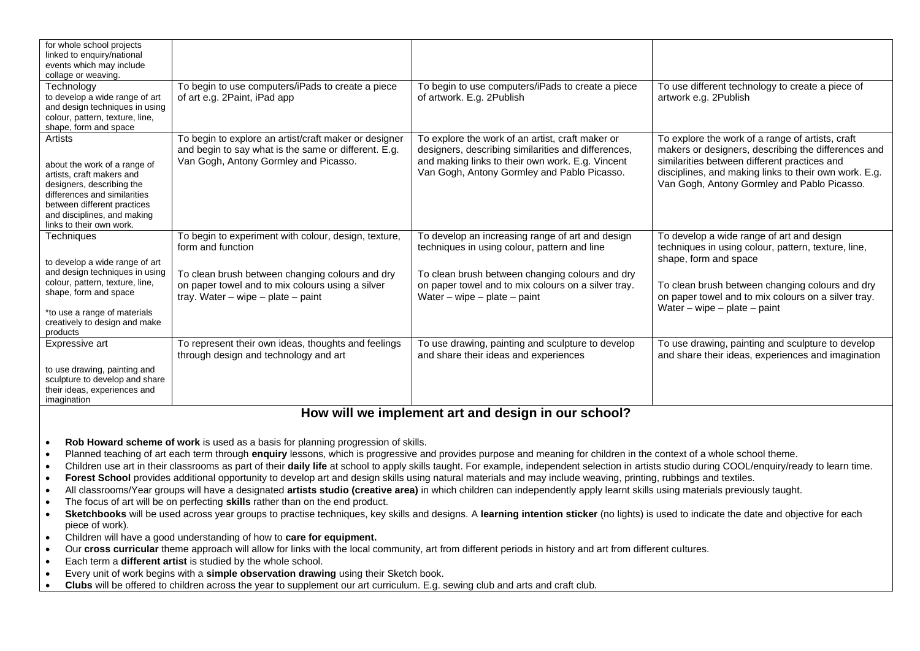| for whole school projects<br>linked to enquiry/national<br>events which may include                                                                                                                                         |                                                                                                                                                        |                                                                                                                                                                                                            |                                                                                                                                                                                                                                                                 |
|-----------------------------------------------------------------------------------------------------------------------------------------------------------------------------------------------------------------------------|--------------------------------------------------------------------------------------------------------------------------------------------------------|------------------------------------------------------------------------------------------------------------------------------------------------------------------------------------------------------------|-----------------------------------------------------------------------------------------------------------------------------------------------------------------------------------------------------------------------------------------------------------------|
| collage or weaving.                                                                                                                                                                                                         |                                                                                                                                                        |                                                                                                                                                                                                            |                                                                                                                                                                                                                                                                 |
| Technology<br>to develop a wide range of art<br>and design techniques in using<br>colour, pattern, texture, line,<br>shape, form and space                                                                                  | To begin to use computers/iPads to create a piece<br>of art e.g. 2Paint, iPad app                                                                      | To begin to use computers/iPads to create a piece<br>of artwork. E.g. 2Publish                                                                                                                             | To use different technology to create a piece of<br>artwork e.g. 2Publish                                                                                                                                                                                       |
| Artists<br>about the work of a range of<br>artists, craft makers and<br>designers, describing the<br>differences and similarities<br>between different practices<br>and disciplines, and making<br>links to their own work. | To begin to explore an artist/craft maker or designer<br>and begin to say what is the same or different. E.g.<br>Van Gogh, Antony Gormley and Picasso. | To explore the work of an artist, craft maker or<br>designers, describing similarities and differences,<br>and making links to their own work. E.g. Vincent<br>Van Gogh, Antony Gormley and Pablo Picasso. | To explore the work of a range of artists, craft<br>makers or designers, describing the differences and<br>similarities between different practices and<br>disciplines, and making links to their own work. E.g.<br>Van Gogh, Antony Gormley and Pablo Picasso. |
| Techniques<br>to develop a wide range of art                                                                                                                                                                                | To begin to experiment with colour, design, texture,<br>form and function                                                                              | To develop an increasing range of art and design<br>techniques in using colour, pattern and line                                                                                                           | To develop a wide range of art and design<br>techniques in using colour, pattern, texture, line,<br>shape, form and space                                                                                                                                       |
| and design techniques in using<br>colour, pattern, texture, line,<br>shape, form and space<br>*to use a range of materials<br>creatively to design and make<br>products                                                     | To clean brush between changing colours and dry<br>on paper towel and to mix colours using a silver<br>tray. Water – wipe – plate – paint              | To clean brush between changing colours and dry<br>on paper towel and to mix colours on a silver tray.<br>Water – wipe – plate – paint                                                                     | To clean brush between changing colours and dry<br>on paper towel and to mix colours on a silver tray.<br>Water – wipe – plate – paint                                                                                                                          |
| Expressive art                                                                                                                                                                                                              | To represent their own ideas, thoughts and feelings<br>through design and technology and art                                                           | To use drawing, painting and sculpture to develop<br>and share their ideas and experiences                                                                                                                 | To use drawing, painting and sculpture to develop<br>and share their ideas, experiences and imagination                                                                                                                                                         |
| to use drawing, painting and<br>sculpture to develop and share<br>their ideas, experiences and<br>imagination                                                                                                               |                                                                                                                                                        |                                                                                                                                                                                                            |                                                                                                                                                                                                                                                                 |

## **How will we implement art and design in our school?**

- **Rob Howard scheme of work** is used as a basis for planning progression of skills.
- Planned teaching of art each term through **enquiry** lessons, which is progressive and provides purpose and meaning for children in the context of a whole school theme.
- Children use art in their classrooms as part of their **daily life** at school to apply skills taught. For example, independent selection in artists studio during COOL/enquiry/ready to learn time.
- **Forest School** provides additional opportunity to develop art and design skills using natural materials and may include weaving, printing, rubbings and textiles.
- All classrooms/Year groups will have a designated **artists studio (creative area)** in which children can independently apply learnt skills using materials previously taught.
- The focus of art will be on perfecting **skills** rather than on the end product.
- Sketchbooks will be used across year groups to practise techniques, key skills and designs. A learning intention sticker (no lights) is used to indicate the date and objective for each piece of work).
- Children will have a good understanding of how to **care for equipment.**
- Our **cross curricular** theme approach will allow for links with the local community, art from different periods in history and art from different cultures.
- Each term a **different artist** is studied by the whole school.
- Every unit of work begins with a **simple observation drawing** using their Sketch book.
- **Clubs** will be offered to children across the year to supplement our art curriculum. E.g. sewing club and arts and craft club.